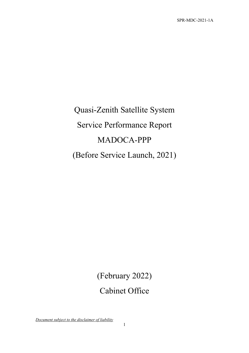# Quasi-Zenith Satellite System Service Performance Report MADOCA-PPP (Before Service Launch, 2021)

(February 2022) Cabinet Office

*Document subject to the disclaimer of liability*

1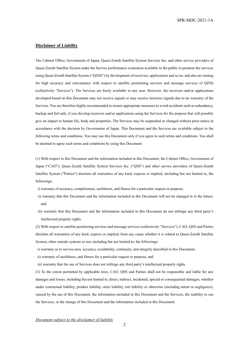#### **Disclaimer of Liability**

The Cabinet Office, Government of Japan, Quasi-Zenith Satellite System Services Inc. and other service providers of Quasi-Zenith Satellite System make the Service performance evaluation available to the public to promote the services using Quasi-Zenith Satellite System ("QZSS") by development of receivers, applications and so on, and also are aiming for high accuracy and convenience with respect to satellite positioning services and message services of QZSS (collectively "Services"). The Services are freely available to any user. However, the receivers and/or applications developed based on this Document may not receive signals or may receive incorrect signals due to no warranty of the Services. You are therefore highly recommended to ensure appropriate measures to avoid accidents such as redundancy, backup and fail-safe, if you develop receivers and/or applications using the Services for the purpose that will possibly give an impact to human life, body and properties. The Services may be suspended or changed without prior notice in accordance with the decision by Government of Japan. This Document and the Services are available subject to the following terms and conditions. You may use this Document only if you agree to such terms and conditions. You shall be deemed to agree such terms and conditions by using this Document.

(1) With respect to this Document and the information included in this Document, the Cabinet Office, Government of Japan ("CAO"), Quasi-Zenith Satellite System Services Inc. ("QSS") and other service providers of Quasi-Zenith Satellite System ("Parties") disclaim all warranties of any kind, express or implied, including but not limited to, the followings:

- i) warranty of accuracy, completeness, usefulness, and fitness for a particular request or purpose;
- ii) warranty that this Document and the information included in this Document will not be changed in to the future; and
- iii) warranty that this Document and the information included in this Document do not infringe any third party's intellectual property rights.

(2) With respect to satellite positioning services and message services (collectively "Services"), CAO, QSS and Parties disclaim all warranties of any kind, express or implied, from any cause whether it is related to Quasi-Zenith Satellite System, other outside systems or not, including but not limited to, the followings:

- i) warranty as to service area, accuracy, availability, continuity, and integrity described in this Document;
- ii) warranty of usefulness, and fitness for a particular request or purpose; and

iii) warranty that the use of Services does not infringe any third party's intellectual property rights.

(3) To the extent permitted by applicable laws, CAO, QSS and Parties shall not be responsible and liable for any damages and losses, including but not limited to, direct, indirect, incidental, special or consequential damages, whether under contractual liability, product liability, strict liability, tort liability or otherwise (including intent or negligence), caused by the use of this Document, the information included in this Document and the Services, the inability to use the Services, or the change of this Document and the information included in this Document.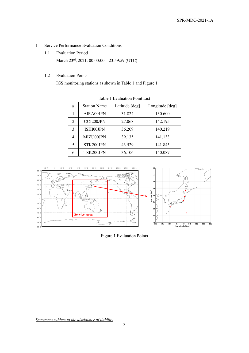- 1 Service Performance Evaluation Conditions
	- 1.1 Evaluation Period March 23<sup>rd</sup>, 2021, 00:00:00 - 23:59:59 (UTC)
	- 1.2 Evaluation Points

<span id="page-2-0"></span>IGS monitoring stations as shown in [Table 1](#page-2-0) an[d Figure 1](#page-2-1)

| Table T Evaluation Follit List |                     |                |                 |
|--------------------------------|---------------------|----------------|-----------------|
| #                              | <b>Station Name</b> | Latitude [deg] | Longitude [deg] |
|                                | AIRA00JPN           | 31.824         | 130.600         |
| 2                              | CCJ200JPN           | 27.068         | 142.195         |
| 3                              | ISHI00JPN           | 36.209         | 140.219         |
| 4                              | MIZU00JPN           | 39.135         | 141.133         |
| 5                              | STK200JPN           | 43.529         | 141.845         |
| 6                              | TSK200JPN           | 36.106         | 140.087         |

Table 1 Evaluation Point List



<span id="page-2-1"></span>Figure 1 Evaluation Points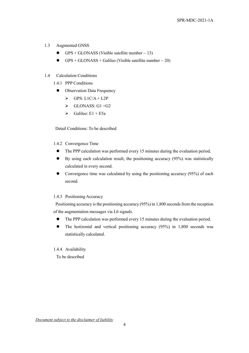### 1.3 Augmented GNSS

- GPS + GLONASS (Visible satellite number  $\sim$  13)
- GPS + GLONASS + Galileo (Visible satellite number  $\sim$  20)

#### 1.4 Calculation Conditions

1.4.1 PPP Conditions

- Observation Data Frequency
	- $\triangleright$  GPS: L1C/A + L2P
	- $\triangleright$  GLONASS: G1+G2
	- $\triangleright$  Galileo: E1 + E5a

Detail Conditions: To be described

#### 1.4.2 Convergence Time

- The PPP calculation was performed every 15 minutes during the evaluation period.
- By using each calculation result, the positioning accuracy (95%) was statistically calculated in every second.
- Convergence time was calculated by using the positioning accuracy (95%) of each second.

#### 1.4.3 Positioning Accuracy

Positioning accuracy is the positioning accuracy (95%) in 1,800 seconds from the reception of the augmentation messages via L6 signals.

- The PPP calculation was performed every 15 minutes during the evaluation period.
- The horizontal and vertical positioning accuracy (95%) in 1,800 seconds was statistically calculated.

#### 1.4.4 Availability

To be described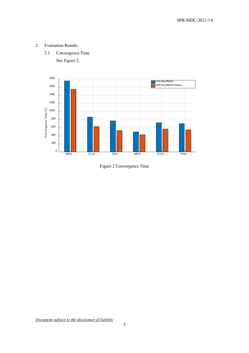- 2 Evaluation Results
	- 2.1 Convergence Time

See [Figure 2.](#page-4-0)



<span id="page-4-0"></span>Figure 2 Convergence Time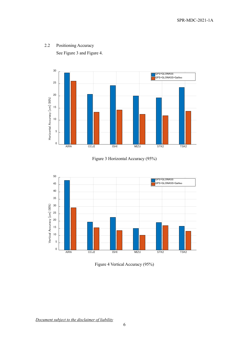

## 2.2 Positioning Accuracy See [Figure 3](#page-5-0) and [Figure 4.](#page-5-1)



<span id="page-5-0"></span>

<span id="page-5-1"></span>